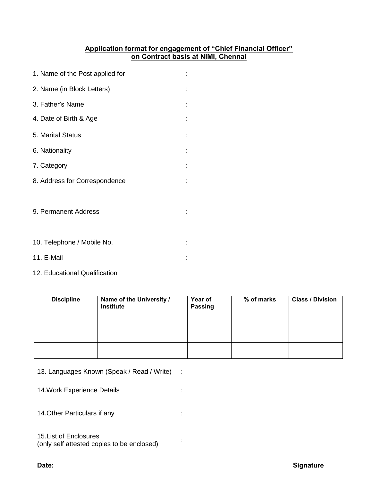## **Application format for engagement of "Chief Financial Officer" on Contract basis at NIMI, Chennai**

| 1. Name of the Post applied for |  |
|---------------------------------|--|
| 2. Name (in Block Letters)      |  |
| 3. Father's Name                |  |
| 4. Date of Birth & Age          |  |
| 5. Marital Status               |  |
| 6. Nationality                  |  |
| 7. Category                     |  |
| 8. Address for Correspondence   |  |
|                                 |  |
| 9. Permanent Address            |  |
|                                 |  |
| 10. Telephone / Mobile No.      |  |
| 11. E-Mail                      |  |

12. Educational Qualification

| <b>Discipline</b> | Name of the University /<br>Institute | Year of<br><b>Passing</b> | % of marks | <b>Class / Division</b> |
|-------------------|---------------------------------------|---------------------------|------------|-------------------------|
|                   |                                       |                           |            |                         |
|                   |                                       |                           |            |                         |
|                   |                                       |                           |            |                         |

- 13. Languages Known (Speak / Read / Write) :
- 14. Work Experience Details **in the State of State 14. Work**
- 14. Other Particulars if any interest and the control of the control of the control of the control of the control of the control of the control of the control of the control of the control of the control of the control of

# 15.List of Enclosures

(only self attested copies to be enclosed) :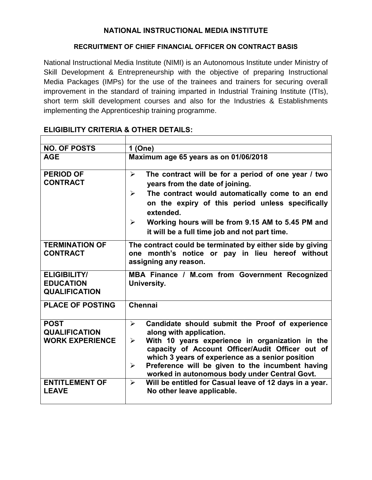## **NATIONAL INSTRUCTIONAL MEDIA INSTITUTE**

#### **RECRUITMENT OF CHIEF FINANCIAL OFFICER ON CONTRACT BASIS**

National Instructional Media Institute (NIMI) is an Autonomous Institute under Ministry of Skill Development & Entrepreneurship with the objective of preparing Instructional Media Packages (IMPs) for the use of the trainees and trainers for securing overall improvement in the standard of training imparted in Industrial Training Institute (ITIs), short term skill development courses and also for the Industries & Establishments implementing the Apprenticeship training programme.

| <b>NO. OF POSTS</b>                                             | 1 (One)                                                                                                                                                                                                                                                                                                                                                                                                               |
|-----------------------------------------------------------------|-----------------------------------------------------------------------------------------------------------------------------------------------------------------------------------------------------------------------------------------------------------------------------------------------------------------------------------------------------------------------------------------------------------------------|
| <b>AGE</b>                                                      | Maximum age 65 years as on 01/06/2018                                                                                                                                                                                                                                                                                                                                                                                 |
| <b>PERIOD OF</b><br><b>CONTRACT</b>                             | The contract will be for a period of one year / two<br>➤<br>years from the date of joining.<br>The contract would automatically come to an end<br>➤<br>on the expiry of this period unless specifically<br>extended.<br>Working hours will be from 9.15 AM to 5.45 PM and<br>$\blacktriangleright$<br>it will be a full time job and not part time.                                                                   |
| <b>TERMINATION OF</b><br><b>CONTRACT</b>                        | The contract could be terminated by either side by giving<br>one month's notice or pay in lieu hereof without<br>assigning any reason.                                                                                                                                                                                                                                                                                |
| <b>ELIGIBILITY/</b><br><b>EDUCATION</b><br><b>QUALIFICATION</b> | MBA Finance / M.com from Government Recognized<br>University.                                                                                                                                                                                                                                                                                                                                                         |
| <b>PLACE OF POSTING</b>                                         | Chennai                                                                                                                                                                                                                                                                                                                                                                                                               |
| <b>POST</b><br><b>QUALIFICATION</b><br><b>WORK EXPERIENCE</b>   | Candidate should submit the Proof of experience<br>$\blacktriangleright$<br>along with application.<br>With 10 years experience in organization in the<br>$\blacktriangleright$<br>capacity of Account Officer/Audit Officer out of<br>which 3 years of experience as a senior position<br>Preference will be given to the incumbent having<br>$\blacktriangleright$<br>worked in autonomous body under Central Govt. |
| <b>ENTITLEMENT OF</b><br><b>LEAVE</b>                           | Will be entitled for Casual leave of 12 days in a year.<br>➤<br>No other leave applicable.                                                                                                                                                                                                                                                                                                                            |

# **ELIGIBILITY CRITERIA & OTHER DETAILS:**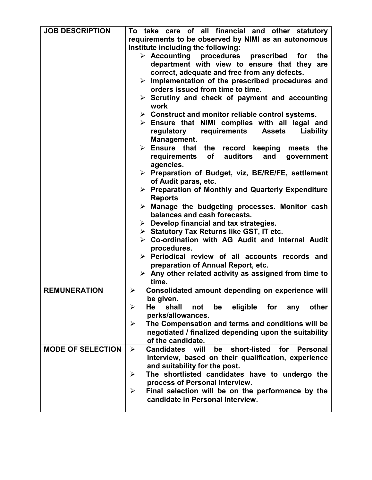| <b>JOB DESCRIPTION</b>   | To take care of all financial and other statutory<br>requirements to be observed by NIMI as an autonomous |
|--------------------------|-----------------------------------------------------------------------------------------------------------|
|                          | Institute including the following:                                                                        |
|                          |                                                                                                           |
|                          | $\triangleright$ Accounting<br>procedures prescribed<br>the<br>for                                        |
|                          | department with view to ensure that they are                                                              |
|                          | correct, adequate and free from any defects.                                                              |
|                          | $\triangleright$ Implementation of the prescribed procedures and                                          |
|                          | orders issued from time to time.                                                                          |
|                          | $\triangleright$ Scrutiny and check of payment and accounting                                             |
|                          |                                                                                                           |
|                          | work                                                                                                      |
|                          | $\triangleright$ Construct and monitor reliable control systems.                                          |
|                          | $\triangleright$ Ensure that NIMI complies with all legal and                                             |
|                          | requirements<br>regulatory<br><b>Assets</b><br><b>Liability</b>                                           |
|                          | Management.                                                                                               |
|                          | $\triangleright$ Ensure that the record keeping<br>meets the                                              |
|                          |                                                                                                           |
|                          | requirements<br>of<br>auditors<br>and<br>government                                                       |
|                          | agencies.                                                                                                 |
|                          | > Preparation of Budget, viz, BE/RE/FE, settlement                                                        |
|                          | of Audit paras, etc.                                                                                      |
|                          | $\triangleright$ Preparation of Monthly and Quarterly Expenditure                                         |
|                          | <b>Reports</b>                                                                                            |
|                          | $\triangleright$ Manage the budgeting processes. Monitor cash                                             |
|                          | balances and cash forecasts.                                                                              |
|                          | $\triangleright$ Develop financial and tax strategies.                                                    |
|                          | $\triangleright$ Statutory Tax Returns like GST, IT etc.                                                  |
|                          | $\triangleright$ Co-ordination with AG Audit and Internal Audit                                           |
|                          | procedures.                                                                                               |
|                          | $\triangleright$ Periodical review of all accounts records and                                            |
|                          | preparation of Annual Report, etc.                                                                        |
|                          | $\triangleright$ Any other related activity as assigned from time to                                      |
|                          | time.                                                                                                     |
|                          |                                                                                                           |
| <b>REMUNERATION</b>      | Consolidated amount depending on experience will<br>➤                                                     |
|                          | be given.                                                                                                 |
|                          | shall<br>$\blacktriangleright$<br>He<br>be<br>eligible for any<br>other<br>not                            |
|                          | perks/allowances.                                                                                         |
|                          | The Compensation and terms and conditions will be<br>➤                                                    |
|                          | negotiated / finalized depending upon the suitability                                                     |
|                          | of the candidate.                                                                                         |
| <b>MODE OF SELECTION</b> | <b>Candidates</b><br>short-listed<br>for<br>will<br>be<br><b>Personal</b><br>$\blacktriangleright$        |
|                          |                                                                                                           |
|                          | Interview, based on their qualification, experience                                                       |
|                          | and suitability for the post.                                                                             |
|                          | The shortlisted candidates have to undergo the<br>➤                                                       |
|                          |                                                                                                           |
|                          | process of Personal Interview.                                                                            |
|                          | Final selection will be on the performance by the<br>➤                                                    |
|                          | candidate in Personal Interview.                                                                          |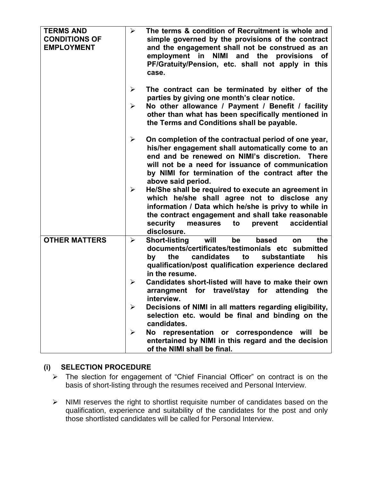| <b>TERMS AND</b><br><b>CONDITIONS OF</b><br><b>EMPLOYMENT</b> | The terms & condition of Recruitment is whole and<br>$\blacktriangleright$<br>simple governed by the provisions of the contract<br>and the engagement shall not be construed as an<br>employment in<br><b>NIMI</b><br>and<br>the provisions<br><b>of</b><br>PF/Gratuity/Pension, etc. shall not apply in this<br>case.                                                                                                                                                                                                                                                                                                                                                                                                      |
|---------------------------------------------------------------|-----------------------------------------------------------------------------------------------------------------------------------------------------------------------------------------------------------------------------------------------------------------------------------------------------------------------------------------------------------------------------------------------------------------------------------------------------------------------------------------------------------------------------------------------------------------------------------------------------------------------------------------------------------------------------------------------------------------------------|
|                                                               | The contract can be terminated by either of the<br>➤<br>parties by giving one month's clear notice.<br>No other allowance / Payment / Benefit / facility<br>➤<br>other than what has been specifically mentioned in<br>the Terms and Conditions shall be payable.                                                                                                                                                                                                                                                                                                                                                                                                                                                           |
|                                                               | On completion of the contractual period of one year,<br>➤<br>his/her engagement shall automatically come to an<br>end and be renewed on NIMI's discretion.<br><b>There</b><br>will not be a need for issuance of communication<br>by NIMI for termination of the contract after the<br>above said period.<br>He/She shall be required to execute an agreement in<br>➤<br>which he/she shall agree not to disclose any<br>information / Data which he/she is privy to while in<br>the contract engagement and shall take reasonable<br>security<br>accidential<br>prevent<br>measures<br>to<br>disclosure.                                                                                                                   |
| <b>OTHER MATTERS</b>                                          | the<br>$\blacktriangleright$<br><b>Short-listing</b><br>will<br>be<br>based<br><b>on</b><br>documents/certificates/testimonials etc submitted<br>candidates<br>to<br>substantiate<br>his<br>the<br>by<br>qualification/post qualification experience declared<br>in the resume.<br>Candidates short-listed will have to make their own<br>➤<br>arrangment for travel/stay for<br>attending<br>the<br>interview.<br>$\blacktriangleright$<br>Decisions of NIMI in all matters regarding eligibility,<br>selection etc. would be final and binding on the<br>candidates.<br>No l<br>representation<br>or correspondence will<br>≻<br>be<br>entertained by NIMI in this regard and the decision<br>of the NIMI shall be final. |

# **(i) SELECTION PROCEDURE**

- ➢ The slection for engagement of "Chief Financial Officer" on contract is on the basis of short-listing through the resumes received and Personal Interview.
- ➢ NIMI reserves the right to shortlist requisite number of candidates based on the qualification, experience and suitability of the candidates for the post and only those shortlisted candidates will be called for Personal Interview.